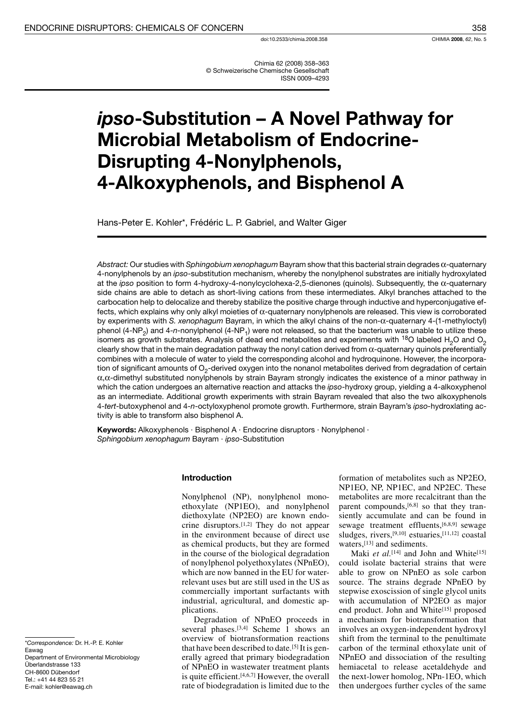Chimia 62 (2008) 358-363 © Schweizerische Chemische Gesellschaft **ISSN 0009-4293** 

# ipso-Substitution - A Novel Pathway for **Microbial Metabolism of Endocrine-Disrupting 4-Nonylphenols,** 4-Alkoxyphenols, and Bisphenol A

Hans-Peter E. Kohler\*, Frédéric L. P. Gabriel, and Walter Giger

Abstract: Our studies with Sphingobium xenophagum Bayram show that this bacterial strain degrades  $\alpha$ -quaternary 4-nonylphenols by an ipso-substitution mechanism, whereby the nonylphenol substrates are initially hydroxylated at the ipso position to form 4-hydroxy-4-nonylcyclohexa-2,5-dienones (quinols). Subsequently, the  $\alpha$ -quaternary side chains are able to detach as short-living cations from these intermediates. Alkyl branches attached to the carbocation help to delocalize and thereby stabilize the positive charge through inductive and hyperconjugative effects, which explains why only alkyl moieties of  $\alpha$ -quaternary nonylphenols are released. This view is corroborated by experiments with S. xenophagum Bayram, in which the alkyl chains of the non- $\alpha$ -quaternary 4-(1-methyloctyl) phenol (4-NP<sub>2</sub>) and 4-n-nonylphenol (4-NP<sub>1</sub>) were not released, so that the bacterium was unable to utilize these isomers as growth substrates. Analysis of dead end metabolites and experiments with <sup>18</sup>O labeled H<sub>2</sub>O and O<sub>2</sub> clearly show that in the main degradation pathway the nonyl cation derived from  $\alpha$ -quaternary quinols preferentially combines with a molecule of water to yield the corresponding alcohol and hydroquinone. However, the incorporation of significant amounts of  $O<sub>2</sub>$ -derived oxygen into the nonanol metabolites derived from degradation of certain  $\alpha$ , $\alpha$ -dimethyl substituted nonylphenols by strain Bayram strongly indicates the existence of a minor pathway in which the cation undergoes an alternative reaction and attacks the ipso-hydroxy group, yielding a 4-alkoxyphenol as an intermediate. Additional growth experiments with strain Bayram revealed that also the two alkoxyphenols 4-tert-butoxyphenol and 4-n-octyloxyphenol promote growth. Furthermore, strain Bayram's ipso-hydroxlating activity is able to transform also bisphenol A.

Keywords: Alkoxyphenols · Bisphenol A · Endocrine disruptors · Nonylphenol · Sphingobium xenophagum Bayram · ipso-Substitution

#### Introduction

Nonylphenol (NP), nonylphenol monoethoxylate (NP1EO), and nonylphenol diethoxylate (NP2EO) are known endocrine disruptors.<sup>[1,2]</sup> They do not appear in the environment because of direct use as chemical products, but they are formed in the course of the biological degradation of nonylphenol polyethoxylates (NPnEO), which are now banned in the EU for waterrelevant uses but are still used in the US as commercially important surfactants with industrial, agricultural, and domestic applications.

Degradation of NPnEO proceeds in several phases.<sup>[3,4]</sup> Scheme 1 shows an overview of biotransformation reactions that have been described to date.<sup>[5]</sup> It is generally agreed that primary biodegradation of NPnEO in wastewater treatment plants is quite efficient.<sup>[4,6,7]</sup> However, the overall rate of biodegradation is limited due to the formation of metabolites such as NP2EO, NP1EO, NP, NP1EC, and NP2EC. These metabolites are more recalcitrant than the parent compounds, [6,8] so that they transiently accumulate and can be found in sewage treatment effluents, [6,8,9] sewage sludges, rivers, [9,10] estuaries, [11,12] coastal waters, [13] and sediments.

Maki et al.<sup>[14]</sup> and John and White<sup>[15]</sup> could isolate bacterial strains that were able to grow on NPnEO as sole carbon source. The strains degrade NPnEO by stepwise exoscission of single glycol units with accumulation of NP2EO as major end product. John and White[15] proposed a mechanism for biotransformation that involves an oxygen-independent hydroxyl shift from the terminal to the penultimate carbon of the terminal ethoxylate unit of NPnEO and dissociation of the resulting hemiacetal to release acetaldehyde and the next-lower homolog, NPn-1EO, which then undergoes further cycles of the same

\*Correspondence: Dr. H.-P. E. Kohler Eawag Department of Environmental Microbiology Überlandstrasse 133 CH-8600 Dübendorf Tel.: +41 44 823 55 21 E-mail: kohler@eawag.ch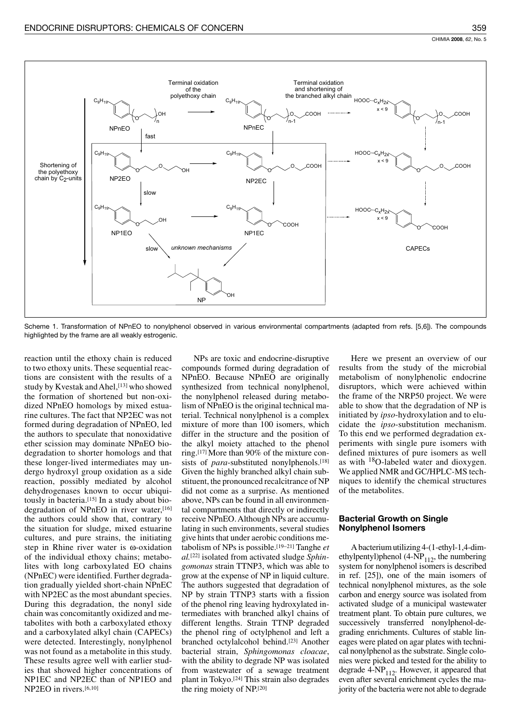

Scheme 1. Transformation of NPnEO to nonylphenol observed in various environmental compartments (adapted from refs. [5,6]). The compounds highlighted by the frame are all weakly estrogenic.

reaction until the ethoxy chain is reduced to two ethoxy units. These sequential reactions are consistent with the results of a study by Kvestak and Ahel, [13] who showed the formation of shortened but non-oxidized NPnEO homologs by mixed estuarine cultures. The fact that NP2EC was not formed during degradation of NPnEO, led the authors to speculate that nonoxidative ether scission may dominate NPnEO biodegradation to shorter homologs and that these longer-lived intermediates may undergo hydroxyl group oxidation as a side reaction, possibly mediated by alcohol dehydrogenases known to occur ubiquitously in bacteria.[15] In a study about biodegradation of NPnEO in river water, [16] the authors could show that, contrary to the situation for sludge, mixed estuarine cultures, and pure strains, the initiating step in Rhine river water is  $\omega$ -oxidation of the individual ethoxy chains; metabolites with long carboxylated EO chains (NPnEC) were identified. Further degradation gradually yielded short-chain NPnEC with NP2EC as the most abundant species. During this degradation, the nonyl side chain was concomitantly oxidized and metabolites with both a carboxylated ethoxy and a carboxylated alkyl chain (CAPECs) were detected. Interestingly, nonylphenol was not found as a metabolite in this study. These results agree well with earlier studies that showed higher concentrations of NP1EC and NP2EC than of NP1EO and NP2EO in rivers.[6,10]

NPs are toxic and endocrine-disruptive compounds formed during degradation of NPnEO. Because NPnEO are originally synthesized from technical nonylphenol, the nonylphenol released during metabolism of NPnEO is the original technical material. Technical nonylphenol is a complex mixture of more than 100 isomers, which differ in the structure and the position of the alkyl moiety attached to the phenol ring.<sup>[17]</sup> More than 90% of the mixture consists of *para*-substituted nonylphenols.[18] Given the highly branched alkyl chain substituent, the pronounced recalcitrance of NP did not come as a surprise. As mentioned above, NPs can be found in all environmental compartments that directly or indirectly receive NPnEO. Although NPs are accumulating in such environments, several studies give hints that under aerobic conditions metabolism of NPs is possible. [19-21] Tanghe  $et$  $al$ <sup>[22]</sup> isolated from activated sludge *Sphingomonas* strain TTNP3, which was able to grow at the expense of NP in liquid culture. The authors suggested that degradation of NP by strain TTNP3 starts with a fission of the phenol ring leaving hydroxylated intermediates with branched alkyl chains of different lengths. Strain TTNP degraded the phenol ring of octylphenol and left a branched octylalcohol behind.[23] Another bacterial strain, Sphingomonas cloacae, with the ability to degrade NP was isolated from wastewater of a sewage treatment plant in Tokyo.<sup>[24]</sup> This strain also degrades the ring moiety of NP.[20]

Here we present an overview of our results from the study of the microbial metabolism of nonylphenolic endocrine disruptors, which were achieved within the frame of the NRP50 project. We were able to show that the degradation of NP is initiated by ipso-hydroxylation and to elucidate the *ipso*-substitution mechanism. To this end we performed degradation experiments with single pure isomers with defined mixtures of pure isomers as well as with  $^{18}O$ -labeled water and dioxygen. We applied NMR and GC/HPLC-MS techniques to identify the chemical structures of the metabolites.

## **Bacterial Growth on Single Nonylphenol Isomers**

A bacterium utilizing 4-(1-ethyl-1,4-dimethylpentyl)phenol (4-NP<sub>112</sub>, the numbering system for nonylphenol isomers is described in ref. [25]), one of the main isomers of technical nonylphenol mixtures, as the sole carbon and energy source was isolated from activated sludge of a municipal wastewater treatment plant. To obtain pure cultures, we successively transferred nonylphenol-degrading enrichments. Cultures of stable lineages were plated on agar plates with technical nonylphenol as the substrate. Single colonies were picked and tested for the ability to degrade  $4-NP_{112}$ . However, it appeared that even after several enrichment cycles the majority of the bacteria were not able to degrade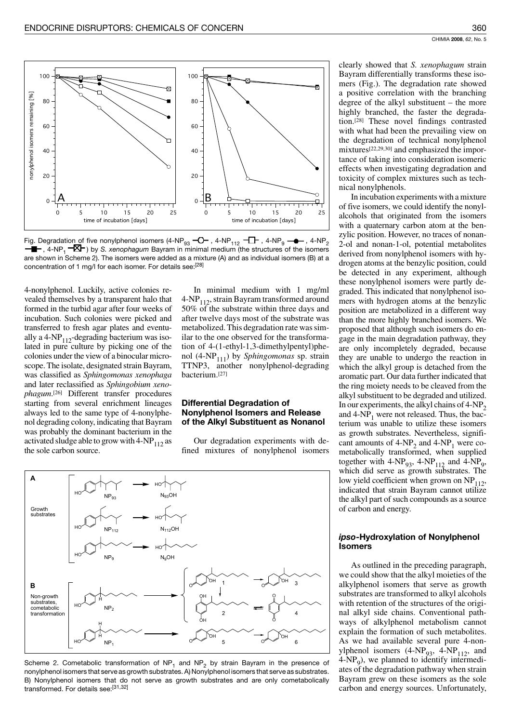

Fig. Degradation of five nonylphenol isomers (4-NP<sub>93</sub>  $\neg$ O  $\rightarrow$  , 4-NP<sub>112</sub>  $\neg$  T  $\rightarrow$  , 4-NP<sub>9</sub>  $\neg$  , 4-NP<sub>2</sub>  $\neg$  T , 4-NP<sub>2</sub>  $\neg$  T , 4-NP<sub>2</sub>  $\neg$  T , 4-NP<sub>1</sub>  $\neg$ are shown in Scheme 2). The isomers were added as a mixture (A) and as individual isomers (B) at a concentration of 1 mg/l for each isomer. For details see: [28]

4-nonylphenol. Luckily, active colonies revealed themselves by a transparent halo that formed in the turbid agar after four weeks of incubation. Such colonies were picked and transferred to fresh agar plates and eventually a 4-NP $_{112}$ -degrading bacterium was isolated in pure culture by picking one of the colonies under the view of a binocular microscope. The isolate, designated strain Bayram, was classified as Sphingomonas xenophaga and later reclassified as Sphingobium xeno*phagum*.<sup>[26]</sup> Different transfer procedures starting from several enrichment lineages always led to the same type of 4-nonylphenol degrading colony, indicating that Bayram was probably the dominant bacterium in the activated sludge able to grow with  $4-NP_{112}$  as the sole carbon source.

In minimal medium with 1 mg/ml 4-NP<sub>112</sub>, strain Bayram transformed around 50% of the substrate within three days and after twelve days most of the substrate was metabolized. This degradation rate was similar to the one observed for the transformation of 4-(1-ethyl-1,3-dimethylpentyl)phenol (4-NP<sub>111</sub>) by *Sphingomonas* sp. strain TTNP3, another nonylphenol-degrading bacterium.[27]

### **Differential Degradation of Nonylphenol Isomers and Release** of the Alkyl Substituent as Nonanol

Our degradation experiments with defined mixtures of nonylphenol isomers



Scheme 2. Cometabolic transformation of  $NP_1$  and  $NP_2$  by strain Bayram in the presence of nonylphenol isomers that serve as growth substrates. A) Nonylphenol isomers that serve as substrates. B) Nonylphenol isomers that do not serve as growth substrates and are only cometabolically transformed. For details see:[31,32]

clearly showed that S. xenophagum strain Bayram differentially transforms these isomers (Fig.). The degradation rate showed a positive correlation with the branching degree of the alkyl substituent  $-$  the more highly branched, the faster the degradation.<sup>[28]</sup> These novel findings contrasted with what had been the prevailing view on the degradation of technical nonylphenol mixtures<sup>[22,29,30]</sup> and emphasized the importance of taking into consideration isomeric effects when investigating degradation and toxicity of complex mixtures such as technical nonylphenols.

In incubation experiments with a mixture of five isomers, we could identify the nonylalcohols that originated from the isomers with a quaternary carbon atom at the benzylic position. However, no traces of nonan-2-ol and nonan-1-ol, potential metabolites derived from nonylphenol isomers with hydrogen atoms at the benzylic position, could be detected in any experiment, although these nonylphenol isomers were partly degraded. This indicated that nonylphenol isomers with hydrogen atoms at the benzylic position are metabolized in a different way than the more highly branched isomers. We proposed that although such isomers do engage in the main degradation pathway, they are only incompletely degraded, because they are unable to undergo the reaction in which the alkyl group is detached from the aromatic part. Our data further indicated that the ring moiety needs to be cleaved from the alkyl substituent to be degraded and utilized. In our experiments, the alkyl chains of  $4-NP_2$ and  $4-NP_1$  were not released. Thus, the bacterium was unable to utilize these isomers as growth substrates. Nevertheless, significant amounts of  $4-NP_2$  and  $4-NP_1$  were cometabolically transformed, when supplied together with  $4-NP_{93}$ ,  $4-NP_{112}$  and  $4-NP_9$ , which did serve as growth substrates. The low yield coefficient when grown on  $NP<sub>112</sub>$ , indicated that strain Bayram cannot utilize the alkyl part of such compounds as a source of carbon and energy.

### ipso-Hydroxylation of Nonylphenol **Isomers**

As outlined in the preceding paragraph, we could show that the alkyl moieties of the alkylphenol isomers that serve as growth substrates are transformed to alkyl alcohols with retention of the structures of the original alkyl side chains. Conventional pathways of alkylphenol metabolism cannot explain the formation of such metabolites. As we had available several pure 4-nonylphenol isomers  $(4-NP_{93}, 4-NP_{112},$  and  $4-NP<sub>9</sub>$ , we planned to identify intermediates of the degradation pathway when strain Bayram grew on these isomers as the sole carbon and energy sources. Unfortunately,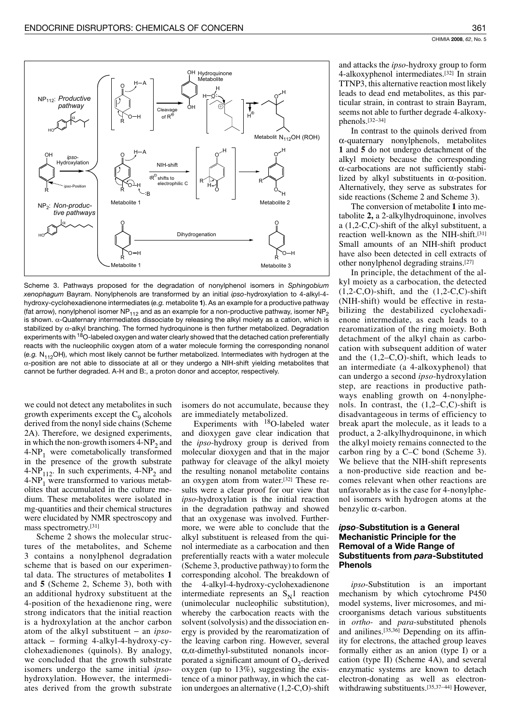

Scheme 3. Pathways proposed for the degradation of nonylphenol isomers in Sphingobium xenophagum Bayram. Nonylphenols are transformed by an initial ipso-hydroxylation to 4-alkyl-4hydroxy-cyclohexadienone intermediates (e.g. metabolite 1). As an example for a productive pathway (fat arrow), nonylphenol isomer NP $_{112}$  and as an example for a non-productive pathway, isomer NP<sub>2</sub> is shown.  $\alpha$ -Quaternary intermediates dissociate by releasing the alkyl moiety as a cation, which is stabilized by  $\alpha$ -alkyl branching. The formed hydroquinone is then further metabolized. Degradation experiments with <sup>18</sup>O-labeled oxygen and water clearly showed that the detached cation preferentially reacts with the nucleophilic oxygen atom of a water molecule forming the corresponding nonanol (e.g.  $N_{112}$ OH), which most likely cannot be further metabolized. Intermediates with hydrogen at the  $\alpha$ -position are not able to dissociate at all or they undergo a NIH-shift yielding metabolites that cannot be further degraded. A-H and B:, a proton donor and acceptor, respectively.

we could not detect any metabolites in such growth experiments except the  $C<sub>o</sub>$  alcohols derived from the nonyl side chains (Scheme 2A). Therefore, we designed experiments, in which the non-growth isomers 4-NP<sub>2</sub> and  $4-NP_1$  were cometabolically transformed in the presence of the growth substrate 4-NP<sub>112</sub>. In such experiments, 4-NP<sub>2</sub> and  $4-NP<sub>1</sub>$  were transformed to various metabolites that accumulated in the culture medium. These metabolites were isolated in mg-quantities and their chemical structures were elucidated by NMR spectroscopy and mass spectrometry.[31]

Scheme 2 shows the molecular structures of the metabolites, and Scheme 3 contains a nonylphenol degradation scheme that is based on our experimental data. The structures of metabolites 1 and 5 (Scheme 2, Scheme 3), both with an additional hydroxy substituent at the 4-position of the hexadienone ring, were strong indicators that the initial reaction is a hydroxylation at the anchor carbon atom of the alkyl substituent - an  $ipso$ attack – forming 4-alkyl-4-hydroxy-cyclohexadienones (quinols). By analogy, we concluded that the growth substrate isomers undergo the same initial ipsohydroxylation. However, the intermediates derived from the growth substrate isomers do not accumulate, because they are immediately metabolized.

Experiments with <sup>18</sup>O-labeled water and dioxygen gave clear indication that the ipso-hydroxy group is derived from molecular dioxygen and that in the major pathway for cleavage of the alkyl moiety the resulting nonanol metabolite contains an oxygen atom from water.[32] These results were a clear proof for our view that *ipso*-hydroxylation is the initial reaction in the degradation pathway and showed that an oxygenase was involved. Furthermore, we were able to conclude that the alkyl substituent is released from the quinol intermediate as a carbocation and then preferentially reacts with a water molecule (Scheme 3, productive pathway) to form the corresponding alcohol. The breakdown of the 4-alkyl-4-hydroxy-cyclohexadienone intermediate represents an  $S_N1$  reaction (unimolecular nucleophilic substitution), whereby the carbocation reacts with the solvent (solvolysis) and the dissociation energy is provided by the rearomatization of the leaving carbon ring. However, several  $\alpha$ , $\alpha$ -dimethyl-substituted nonanols incorporated a significant amount of  $O_2$ -derived oxygen (up to  $13\%$ ), suggesting the existence of a minor pathway, in which the cation undergoes an alternative  $(1,2-C,0)$ -shift

and attacks the *ipso*-hydroxy group to form 4-alkoxyphenol intermediates.<sup>[32]</sup> In strain TTNP3, this alternative reaction most likely leads to dead end metabolites, as this particular strain, in contrast to strain Bayram, seems not able to further degrade 4-alkoxyphenols. $[32-34]$ 

In contrast to the quinols derived from  $\alpha$ -quaternary nonylphenols, metabolites 1 and 5 do not undergo detachment of the alkyl moiety because the corresponding  $\alpha$ -carbocations are not sufficiently stabilized by alkyl substituents in  $\alpha$ -position. Alternatively, they serve as substrates for side reactions (Scheme 2 and Scheme 3).

The conversion of metabolite 1 into metabolite 2, a 2-alkylhydroquinone, involves a  $(1,2-C,C)$ -shift of the alkyl substituent, a reaction well-known as the NIH-shift.[31] Small amounts of an NIH-shift product have also been detected in cell extracts of other nonylphenol degrading strains.[27]

In principle, the detachment of the alkyl moiety as a carbocation, the detected  $(1,2-C, O)$ -shift, and the  $(1,2-C, C)$ -shift (NIH-shift) would be effective in restabilizing the destabilized cyclohexadienone intermediate, as each leads to a rearomatization of the ring moiety. Both detachment of the alkyl chain as carbocation with subsequent addition of water and the  $(1,2-C, O)$ -shift, which leads to an intermediate (a 4-alkoxyphenol) that can undergo a second *ipso*-hydroxylation step, are reactions in productive pathways enabling growth on 4-nonylphenols. In contrast, the  $(1,2-C,C)$ -shift is disadvantageous in terms of efficiency to break apart the molecule, as it leads to a product, a 2-alkylhydroquinone, in which the alkyl moiety remains connected to the carbon ring by a  $C-C$  bond (Scheme 3). We believe that the NIH-shift represents a non-productive side reaction and becomes relevant when other reactions are unfavorable as is the case for 4-nonylphenol isomers with hydrogen atoms at the benzylic  $\alpha$ -carbon.

## ipso-Substitution is a General **Mechanistic Principle for the Removal of a Wide Range of** Substituents from para-Substituted **Phenols**

*ipso*-Substitution is an important mechanism by which cytochrome P450 model systems, liver microsomes, and microorganisms detach various substituents in ortho- and para-substituted phenols and anilines.<sup>[35,36]</sup> Depending on its affinity for electrons, the attached group leaves formally either as an anion (type I) or a cation (type II) (Scheme 4A), and several enzymatic systems are known to detach electron-donating as well as electronwithdrawing substituents.<sup>[35,37-44]</sup> However,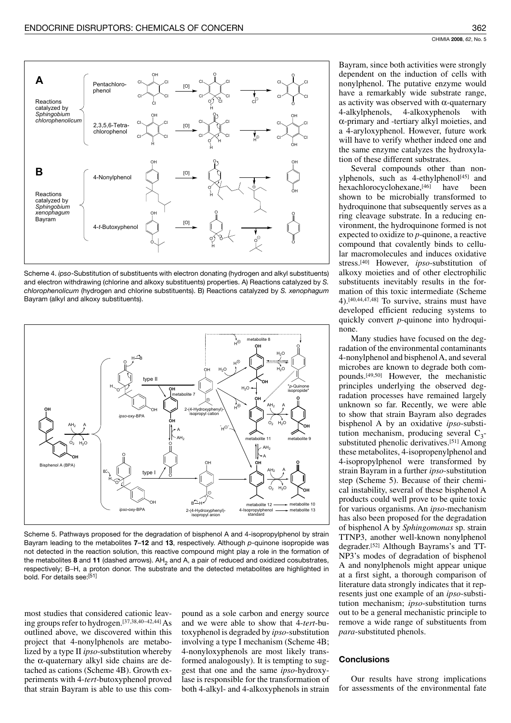

Scheme 4. ipso-Substitution of substituents with electron donating (hydrogen and alkyl substituents) and electron withdrawing (chlorine and alkoxy substituents) properties. A) Reactions catalyzed by S. chlorophenolicum (hydrogen and chlorine substituents). B) Reactions catalyzed by S. xenophagum Bayram (alkyl and alkoxy substituents).



Scheme 5. Pathways proposed for the degradation of bisphenol A and 4-isopropylphenol by strain Bayram leading to the metabolites  $7-12$  and 13, respectively. Although  $p$ -quinone isopropide was not detected in the reaction solution, this reactive compound might play a role in the formation of the metabolites 8 and 11 (dashed arrows). AH<sub>2</sub> and A, a pair of reduced and oxidized cosubstrates, respectively; B-H, a proton donor. The substrate and the detected metabolites are highlighted in bold. For details see:[51]

most studies that considered cationic leaving groups refer to hydrogen.[37,38,40-42,44] As outlined above, we discovered within this project that 4-nonylphenols are metabolized by a type II *ipso*-substitution whereby the  $\alpha$ -quaternary alkyl side chains are detached as cations (Scheme 4B). Growth experiments with 4-tert-butoxyphenol proved that strain Bayram is able to use this compound as a sole carbon and energy source and we were able to show that 4-tert-butoxyphenol is degraded by *ipso*-substitution involving a type I mechanism (Scheme 4B; 4-nonyloxyphenols are most likely transformed analogously). It is tempting to suggest that one and the same *ipso*-hydroxylase is responsible for the transformation of both 4-alkyl- and 4-alkoxyphenols in strain

Bayram, since both activities were strongly dependent on the induction of cells with nonylphenol. The putative enzyme would have a remarkably wide substrate range, as activity was observed with  $\alpha$ -quaternary 4-alkylphenols, 4-alkoxyphenols with  $\alpha$ -primary and -tertiary alkyl moieties, and a 4-aryloxyphenol. However, future work will have to verify whether indeed one and the same enzyme catalyzes the hydroxylation of these different substrates.

Several compounds other than nonylphenols, such as 4-ethylphenol<sup>[45]</sup> and hexachlorocyclohexane, [46] have heen shown to be microbially transformed to hydroquinone that subsequently serves as a ring cleavage substrate. In a reducing environment, the hydroquinone formed is not expected to oxidize to  $p$ -quinone, a reactive compound that covalently binds to cellular macromolecules and induces oxidative stress.<sup>[40]</sup> However, *ipso*-substitution of alkoxy moieties and of other electrophilic substituents inevitably results in the formation of this toxic intermediate (Scheme 4).<sup>[40,44,47,48]</sup> To survive, strains must have developed efficient reducing systems to quickly convert  $p$ -quinone into hydroquinone.

Many studies have focused on the degradation of the environmental contaminants 4-nonylphenol and bisphenol A, and several microbes are known to degrade both compounds.<sup>[49,50]</sup> However, the mechanistic principles underlying the observed degradation processes have remained largely unknown so far. Recently, we were able to show that strain Bayram also degrades bisphenol A by an oxidative *ipso*-substitution mechanism, producing several  $C_3$ substituted phenolic derivatives.[51] Among these metabolites, 4-isopropenylphenol and 4-isopropylphenol were transformed by strain Bayram in a further *ipso*-substitution step (Scheme 5). Because of their chemical instability, several of these bisphenol A products could well prove to be quite toxic for various organisms. An ipso-mechanism has also been proposed for the degradation of bisphenol A by Sphingomonas sp. strain TTNP3, another well-known nonylphenol degrader.[52] Although Bayrams's and TT-NP3's modes of degradation of bisphenol A and nonylphenols might appear unique at a first sight, a thorough comparison of literature data strongly indicates that it represents just one example of an *ipso*-substitution mechanism; ipso-substitution turns out to be a general mechanistic principle to remove a wide range of substituents from *para*-substituted phenols.

## **Conclusions**

Our results have strong implications for assessments of the environmental fate